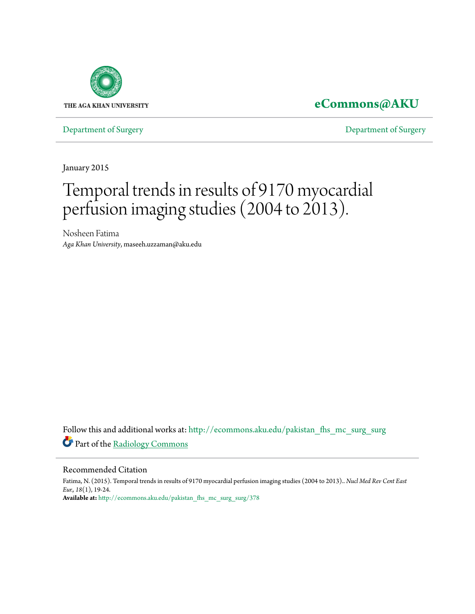

### **[eCommons@AKU](http://ecommons.aku.edu?utm_source=ecommons.aku.edu%2Fpakistan_fhs_mc_surg_surg%2F378&utm_medium=PDF&utm_campaign=PDFCoverPages)**

[Department of Surgery](http://ecommons.aku.edu/pakistan_fhs_mc_surg_surg?utm_source=ecommons.aku.edu%2Fpakistan_fhs_mc_surg_surg%2F378&utm_medium=PDF&utm_campaign=PDFCoverPages) [Department of Surgery](http://ecommons.aku.edu/pakistan_fhs_mc_surg?utm_source=ecommons.aku.edu%2Fpakistan_fhs_mc_surg_surg%2F378&utm_medium=PDF&utm_campaign=PDFCoverPages)

January 2015

## Temporal trends in results of 9170 myocardial perfusion imaging studies (2004 to 2013).

Nosheen Fatima *Aga Khan University*, maseeh.uzzaman@aku.edu

Follow this and additional works at: [http://ecommons.aku.edu/pakistan\\_fhs\\_mc\\_surg\\_surg](http://ecommons.aku.edu/pakistan_fhs_mc_surg_surg?utm_source=ecommons.aku.edu%2Fpakistan_fhs_mc_surg_surg%2F378&utm_medium=PDF&utm_campaign=PDFCoverPages) Part of the [Radiology Commons](http://network.bepress.com/hgg/discipline/705?utm_source=ecommons.aku.edu%2Fpakistan_fhs_mc_surg_surg%2F378&utm_medium=PDF&utm_campaign=PDFCoverPages)

#### Recommended Citation

Fatima, N. (2015). Temporal trends in results of 9170 myocardial perfusion imaging studies (2004 to 2013).. *Nucl Med Rev Cent East Eur., 18*(1), 19-24. **Available at:** [http://ecommons.aku.edu/pakistan\\_fhs\\_mc\\_surg\\_surg/378](http://ecommons.aku.edu/pakistan_fhs_mc_surg_surg/378)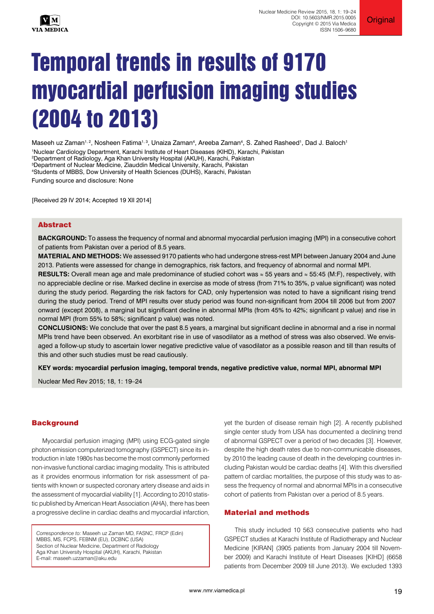

# Temporal trends in results of 9170 myocardial perfusion imaging studies (2004 to 2013)

Maseeh uz Zaman<sup>1, 2</sup>, Nosheen Fatima<sup>1, 3</sup>, Unaiza Zaman<sup>4</sup>, Areeba Zaman<sup>4</sup>, S. Zahed Rasheed<sup>1</sup>, Dad J. Baloch<sup>1</sup> 1Nuclear Cardiology Department, Karachi Institute of Heart Diseases (KIHD), Karachi, Pakistan 2Department of Radiology, Aga Khan University Hospital (AKUH), Karachi, Pakistan

3Department of Nuclear Medicine, Ziauddin Medical University, Karachi, Pakistan

4Students of MBBS, Dow University of Health Sciences (DUHS), Karachi, Pakistan

Funding source and disclosure: None

[Received 29 IV 2014; Accepted 19 XII 2014]

#### Abstract

**BACKGROUND:** To assess the frequency of normal and abnormal myocardial perfusion imaging (MPI) in a consecutive cohort of patients from Pakistan over a period of 8.5 years.

**MATERIAL AND METHODS:** We assessed 9170 patients who had undergone stress-rest MPI between January 2004 and June 2013. Patients were assessed for change in demographics, risk factors, and frequency of abnormal and normal MPI.

**RESULTS:** Overall mean age and male predominance of studied cohort was ≈ 55 years and ≈ 55:45 (M:F), respectively, with no appreciable decline or rise. Marked decline in exercise as mode of stress (from 71% to 35%, p value significant) was noted during the study period. Regarding the risk factors for CAD, only hypertension was noted to have a significant rising trend during the study period. Trend of MPI results over study period was found non-significant from 2004 till 2006 but from 2007 onward (except 2008), a marginal but significant decline in abnormal MPIs (from 45% to 42%; significant p value) and rise in normal MPI (from 55% to 58%; significant p value) was noted.

**CONCLUSIONS:** We conclude that over the past 8.5 years, a marginal but significant decline in abnormal and a rise in normal MPIs trend have been observed. An exorbitant rise in use of vasodilator as a method of stress was also observed. We envisaged a follow-up study to ascertain lower negative predictive value of vasodilator as a possible reason and till than results of this and other such studies must be read cautiously.

**KEY words: myocardial perfusion imaging, temporal trends, negative predictive value, normal MPI, abnormal MPI**

Nuclear Med Rev 2015; 18, 1: 19–24

#### **Background**

Myocardial perfusion imaging (MPI) using ECG-gated single photon emission computerized tomography (GSPECT) since its introduction in late 1980s has become the most commonly performed non-invasive functional cardiac imaging modality. This is attributed as it provides enormous information for risk assessment of patients with known or suspected coronary artery disease and aids in the assessment of myocardial viability [1]. According to 2010 statistic published by American Heart Association (AHA), there has been a progressive decline in cardiac deaths and myocardial infarction,

*Correspondence to:* Maseeh uz Zaman MD, FASNC, FRCP (Edin) MBBS, MS, FCPS, FEBNM (EU), DCBNC (USA) Section of Nuclear Medicine, Department of Radiology Aga Khan University Hospital (AKUH), Karachi, Pakistan E-mail: maseeh.uzzaman@aku.edu

yet the burden of disease remain high [2]. A recently published single center study from USA has documented a declining trend of abnormal GSPECT over a period of two decades [3]. However, despite the high death rates due to non-communicable diseases, by 2010 the leading cause of death in the developing countries including Pakistan would be cardiac deaths [4]. With this diversified pattern of cardiac mortalities, the purpose of this study was to assess the frequency of normal and abnormal MPIs in a consecutive cohort of patients from Pakistan over a period of 8.5 years.

#### Material and methods

This study included 10 563 consecutive patients who had GSPECT studies at Karachi Institute of Radiotherapy and Nuclear Medicine [KIRAN] (3905 patients from January 2004 till November 2009) and Karachi Institute of Heart Diseases [KIHD] (6658 patients from December 2009 till June 2013). We excluded 1393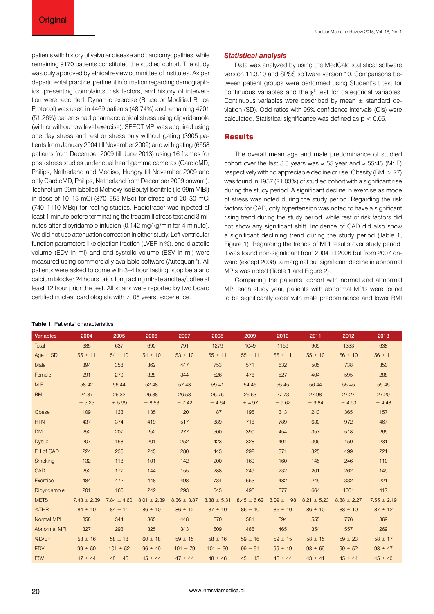Nuclear Medicine Review 2015, Vol. 18, No. 1

patients with history of valvular disease and cardiomyopathies, while remaining 9170 patients constituted the studied cohort. The study was duly approved by ethical review committee of Institutes. As per departmental practice, pertinent information regarding demographics, presenting complaints, risk factors, and history of intervention were recorded. Dynamic exercise (Bruce or Modified Bruce Protocol) was used in 4469 patients (48.74%) and remaining 4701 (51.26%) patients had pharmacological stress using dipyridamole (with or without low level exercise). SPECT MPI was acquired using one day stress and rest or stress only without gating (3905 patients from January 2004 till November 2009) and with gating (6658 patients from December 2009 till June 2013) using 16 frames for post-stress studies under dual head gamma cameras (CardioMD, Philips, Netherland and Mediso, Hungry till November 2009 and only CardioMD, Philips, Netherland from December 2009 onward). Technetium-99m labelled Methoxy IsoBbutyl Isonitrile (Tc-99m MIBI) in dose of 10–15 mCi (370–555 MBq) for stress and 20–30 mCi (740–1110 MBq) for resting studies. Radiotracer was injected at least 1 minute before terminating the treadmill stress test and 3 minutes after dipyridamole infusion (0.142 mg/kg/min for 4 minute). We did not use attenuation correction in either study. Left ventricular function parameters like ejection fraction (LVEF in %), end-diastolic volume (EDV in ml) and end-systolic volume (ESV in ml) were measured using commercially available software (Autoquan®). All patients were asked to come with 3–4 hour fasting, stop beta and calcium blocker 24 hours prior, long acting nitrate and tea/coffee at least 12 hour prior the test. All scans were reported by two board certified nuclear cardiologists with  $> 05$  years' experience.

#### **Table 1.** Patients' characteristics

#### *Statistical analysis*

Data was analyzed by using the MedCalc statistical software version 11.3.10 and SPSS software version 10. Comparisons between patient groups were performed using Student's t test for continuous variables and the  $\chi^2$  test for categorical variables. Continuous variables were described by mean  $\pm$  standard deviation (SD). Odd ratios with 95% confidence intervals (CIs) were calculated. Statistical significance was defined as p < 0.05.

#### **Results**

The overall mean age and male predominance of studied cohort over the last 8.5 years was  $\approx$  55 year and  $\approx$  55:45 (M: F) respectively with no appreciable decline or rise. Obesity (BMI > 27) was found in 1957 (21.03%) of studied cohort with a significant rise during the study period. A significant decline in exercise as mode of stress was noted during the study period. Regarding the risk factors for CAD, only hypertension was noted to have a significant rising trend during the study period, while rest of risk factors did not show any significant shift. Incidence of CAD did also show a significant declining trend during the study period (Table 1, Figure 1). Regarding the trends of MPI results over study period, it was found non-significant from 2004 till 2006 but from 2007 onward (except 2008), a marginal but significant decline in abnormal MPIs was noted (Table 1 and Figure 2).

Comparing the patients' cohort with normal and abnormal MPI each study year, patients with abnormal MPIs were found to be significantly older with male predominance and lower BMI

| <b>Variables</b> | 2004            | 2005            | 2006            | 2007            | 2008            | 2009            | 2010            | 2011            | 2012            | 2013            |
|------------------|-----------------|-----------------|-----------------|-----------------|-----------------|-----------------|-----------------|-----------------|-----------------|-----------------|
| Total            | 685             | 637             | 690             | 791             | 1279            | 1049            | 1159            | 909             | 1333            | 638             |
| Age $\pm$ SD     | $55 \pm 11$     | $54 \pm 10$     | $54 \pm 10$     | $53 \pm 10$     | $55 \pm 11$     | $55 \pm 11$     | $55 \pm 11$     | $55 \pm 10$     | $56 \pm 10$     | $56 \pm 11$     |
| Male             | 394             | 358             | 362             | 447             | 753             | 571             | 632             | 505             | 738             | 350             |
| Female           | 291             | 279             | 328             | 344             | 526             | 478             | 527             | 404             | 595             | 288             |
| M: F             | 58:42           | 56:44           | 52:48           | 57:43           | 59:41           | 54:46           | 55:45           | 56:44           | 55:45           | 55:45           |
| <b>BMI</b>       | 24.87           | 26.32           | 26.38           | 26.58           | 25.75           | 26.53           | 27.73           | 27.98           | 27.27           | 27.20           |
|                  | ± 5.25          | ± 5.99          | ± 8.53          | ± 7.42          | ± 4.64          | ± 4.97          | ± 9.62          | ± 9.84          | ± 4.93          | ± 4.48          |
| Obese            | 109             | 133             | 135             | 120             | 187             | 195             | 313             | 243             | 365             | 157             |
| <b>HTN</b>       | 437             | 374             | 419             | 517             | 889             | 718             | 789             | 630             | 972             | 467             |
| <b>DM</b>        | 252             | 207             | 252             | 277             | 500             | 390             | 454             | 357             | 518             | 265             |
| <b>Dyslip</b>    | 207             | 158             | 201             | 252             | 423             | 328             | 401             | 306             | 450             | 231             |
| FH of CAD        | 224             | 235             | 245             | 280             | 445             | 292             | 371             | 325             | 499             | 221             |
| Smoking          | 132             | 118             | 101             | 142             | 200             | 169             | 160             | 145             | 246             | 110             |
| CAD              | 252             | 177             | 144             | 155             | 288             | 249             | 232             | 201             | 262             | 149             |
| Exercise         | 484             | 472             | 448             | 498             | 734             | 553             | 482             | 245             | 332             | 221             |
| Dipyridamole     | 201             | 165             | 242             | 293             | 545             | 496             | 677             | 664             | 1001            | 417             |
| <b>METS</b>      | $7.43 \pm 2.39$ | $7.84 \pm 4.60$ | $8.01 \pm 2.39$ | $8.36 \pm 3.87$ | $8.38 \pm 5.31$ | $8.45 \pm 6.62$ | $8.09 \pm 1.98$ | $8.21 \pm 5.23$ | $8.88 \pm 2.27$ | $7.55 \pm 2.19$ |
| %THR             | $84 \pm 10$     | $84 \pm 11$     | $86 \pm 10$     | $86 \pm 12$     | $87 \pm 10$     | $86 \pm 10$     | $86 \pm 10$     | $86 \pm 10$     | $88 \pm 10$     | $87 \pm 12$     |
| Normal MPI       | 358             | 344             | 365             | 448             | 670             | 581             | 694             | 555             | 776             | 369             |
| Abnormal MPI     | 327             | 293             | 325             | 343             | 609             | 468             | 465             | 354             | 557             | 269             |
| %LVEF            | $58 \pm 16$     | $58 \pm 18$     | $60 \pm 18$     | $59 \pm 15$     | $58 \pm 16$     | $59 \pm 16$     | $59 \pm 15$     | $58 \pm 15$     | $59 \pm 23$     | $58 \pm 17$     |
| <b>EDV</b>       | $99 \pm 50$     | $101 \pm 52$    | $96 \pm 49$     | $101 \pm 79$    | $101 \pm 50$    | $99 \pm 51$     | $99 \pm 49$     | $98 \pm 69$     | $99 \pm 52$     | $93 \pm 47$     |
| <b>ESV</b>       | $47 \pm 44$     | $48 \pm 45$     | $45 \pm 44$     | $47 \pm 44$     | $48 \pm 46$     | $45 \pm 43$     | $46 \pm 44$     | $43 \pm 41$     | $45 \pm 44$     | $45 \pm 40$     |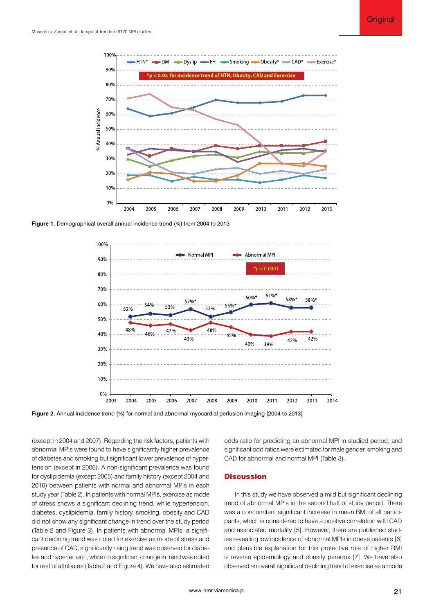

**Figure 1.** Demographical overall annual incidence trend (%) from 2004 to 2013



**Figure 2.** Annual incidence trend (%) for normal and abnormal myocardial perfusion imaging (2004 to 2013)

(except in 2004 and 2007). Regarding the risk factors, patients with abnormal MPIs were found to have significantly higher prevalence of diabetes and smoking but significant lower prevalence of hypertension (except in 2006). A non-significant prevalence was found for dyslipidemia (except 2005) and family history (except 2004 and 2010) between patients with normal and abnormal MPIs in each study year (Table 2). In patients with normal MPIs, exercise as mode of stress shows a significant declining trend, while hypertension, diabetes, dyslipidemia, family history, smoking, obesity and CAD did not show any significant change in trend over the study period (Table 2 and Figure 3). In patients with abnormal MPIs, a significant declining trend was noted for exercise as mode of stress and presence of CAD, significantly rising trend was observed for diabetes and hypertension, while no significant change in trend was noted for rest of attributes (Table 2 and Figure 4). We have also estimated

odds ratio for predicting an abnormal MPI in studied period, and significant odd ratios were estimated for male gender, smoking and CAD for abnormal and normal MPI (Table 3).

#### **Discussion**

In this study we have observed a mild but significant declining trend of abnormal MPIs in the second half of study period. There was a concomitant significant increase in mean BMI of all participants, which is considered to have a positive correlation with CAD and associated mortality [5]. However, there are published studies revealing low incidence of abnormal MPIs in obese patients [6] and plausible explanation for this protective role of higher BMI is reverse epidemiology and obesity paradox [7]. We have also observed an overall significant declining trend of exercise as a mode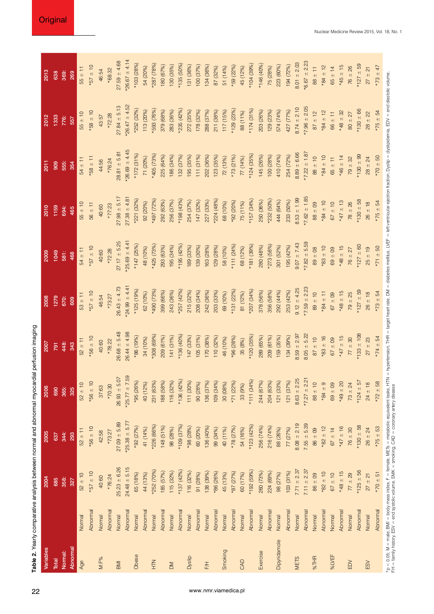| Variables    |          | 2004             | 2005              | 2006                   | 2007             | 2008                                                                                                                                                                                                                          | <b>8002</b>             | 2010             | 2011              | 2012              | 2013              |
|--------------|----------|------------------|-------------------|------------------------|------------------|-------------------------------------------------------------------------------------------------------------------------------------------------------------------------------------------------------------------------------|-------------------------|------------------|-------------------|-------------------|-------------------|
| Total        |          | 685              | 637               | 690                    | 791              | 1279                                                                                                                                                                                                                          | 1049                    | 1159             | 909               | 1333              | 638               |
| Normal:      |          | 358:             | 344:              | 365:                   | 448:             | 670:                                                                                                                                                                                                                          | 581:                    | 694:             | 555:              | 776:              | 369:              |
| Abnormal     |          | 327              | 293               | 325                    | 343              | 609                                                                                                                                                                                                                           | 468                     | 465              | 354               | 557               | 269               |
| Age          | Normal   | $52 \pm 10$      | $52 \pm 11$       | $52 \pm 10$            | $52 \pm 11$      | $53 \pm 11$                                                                                                                                                                                                                   | $54 \pm 1$ <sup>-</sup> | $55 \pm 10$      | $54 \pm 11$       | $55 \pm 10$       | $55 \pm 11$       |
|              | Abnormal | $-157 \pm 10$    | $*56 \pm 10$      | $01 = 95*$             | $-10$            | $-657 \pm 10$                                                                                                                                                                                                                 | $-657 \pm 10$           | $56 \pm 11$      | $*58 \pm 11$      | $01 \pm 85*$      | $01 \pm 12*$      |
| M:F%         | Normal   | 40:60            | 42:58             | 37:63                  | 40:60            | 46:54                                                                                                                                                                                                                         | 40:60                   | 40:60            | 44:56             | 43:57             | 46:54             |
|              | Abnormal | *76:24           | *73:27            | *70:30                 | $*78:22$         | *73:27                                                                                                                                                                                                                        | *72:28                  | *77:23           | *76:24            | $*72.28$          | $*68:32$          |
| <b>IMB</b>   | Normal   | $25.23 \pm 6.26$ | $27.09 + 5.89$    | $26.93 + 5.07$         | $26.68 \pm 5.48$ | $26.43 \pm 4.73$                                                                                                                                                                                                              | $27.17 \pm 5.25$        | $27.98 \pm 5.17$ | $28.81 + 5.81$    | $27.84 \pm 5.13$  | $27.59 \pm 4.68$  |
|              | Abnormal | $24.48 \pm 5.15$ | $*25.38 \pm 5.77$ | $*25.77 \pm 7.59$      | $26.44 \pm 4.98$ | $424.99 \pm 4.41$                                                                                                                                                                                                             | $*25.69 \pm 4.41$       | $27.38 \pm 4.81$ | $-26.69 \pm 4.45$ | $-26.47 \pm 4.52$ | $426.67 \pm 4.14$ |
| Obese        | Normal   | 65 (18%)         | *92 (27%)         | *95 (26%)              | (996)            | *125 (19%)                                                                                                                                                                                                                    | *147 (25%)              | *221 (32%)       | $*172(31%)$       | *252 (32%)        | *103 (28%)        |
|              | Abnormal | 44 (13%)         | 41 (14%)          | 40 (12%)               | 34 (10%)         | 62 (10%)                                                                                                                                                                                                                      | 48 (10%)                | 92 (20%)         | 71 (20%)          | 113 (20%)         | 54 (20%)          |
| $rac{Z}{T}$  | Normal   | *252 (70%)       | *226 (66%)        | 231 (63%)              | *308 (69%)       | *490 (73%)                                                                                                                                                                                                                    | *425 (73%)              | *497 (72%)       | *405 (73%)        | *593 (76%)        | *287 (78%)        |
|              | Abnormal | 185 (57%)        | 148 (51%)         | 188 (58%)              | 209 (61%)        | 399 (66%)                                                                                                                                                                                                                     | 293 (63%)               | 292 (63%)        | 225 (64%)         | 379 (68%)         | 180 (67%)         |
| MQ           | Normal   | 115 (32%)        | 98 (28%)          | 116 (32%)              | 141 (31%)        | 243 (36%)                                                                                                                                                                                                                     | 195 (34%)               | 256 (37%)        | 186 (34%)         | 283 (36%)         | 130 (35%)         |
|              | Abnormal | $*137(42%)$      | $*109(37%)$       | $*136(42%)$            | $*136(40%)$      | *257 (42%)                                                                                                                                                                                                                    | $*195(42%$              | $*198(43%)$      | 132 (37%)         | *235 (42%)        | *135 (50%)        |
| Dyslip       | Normal   | 116 (32%)        | $*98(28%)$        | 111 (30%)              | 147 (33%)        | 215 (32%)                                                                                                                                                                                                                     | 189 (33%)               | 254 (37%)        | 195 (35%)         | 272 (35%)         | 131 (36%)         |
|              | Abnormal | 91 (28%)         | 60 (20%)          | 90 (28%)               | 105(31%)         | 208 (34%)                                                                                                                                                                                                                     | 139 (30%)               | 147 (32%)        | 111 (31%)         | 178 (32%)         | 100 (37%)         |
| F/H          | Normal   | 138 (39%)        | 136 (40%)         | 136 (37%)              | 170 (38%)        | 242 (36%)                                                                                                                                                                                                                     | 163 (28%)               | 227 (33%)        | 202 (36%)         | 288 (37%)         | 134 (36%)         |
|              | Abnormal | *86 (26%)        | 99 (34%)          | 109 (34%)              | 110 (32%)        | 203 (33%)                                                                                                                                                                                                                     | 129 (28%)               | *224 (48%)       | 123 (35%)         | 211 (38%)         | 87 (32%)          |
| Smoking      | Normal   | 45 (13%)         | 40 (11%)          | 30 (08%)               | 46 (10%)         | 69 (10%)                                                                                                                                                                                                                      | 58 (10%)                | 68 (10%)         | 72 (13%)          | 117 (15%)         | 51 (14%)          |
|              | Abnormal | $*87(27%)$       | *78 (27%)         | *71 (22%)              | $*96(28%)$       | $*131(22%)$                                                                                                                                                                                                                   | *111 $(24%)$            | *92 (20%)        | *73 (21%)         | *129 (23%)        | *59 (22%)         |
| CAD          | Normal   | 60 (17%)         | 54 (16%)          | 33 (9%)                | 35 (8%)          | 81 (12%)                                                                                                                                                                                                                      | 68 (12%)                | 75 (11%)         | 77 (14%)          | 88 (11%)          | 45 (12%)          |
|              | Abnormal | *192 (59%)       | $*123(42%)$       | $*111(34%)$            | $(35\%)$         | $(94\%)$                                                                                                                                                                                                                      | $(39\%)$                | *157 (34%)       | *124 (35%)        | $*174(31\%)$      | $*104(39%$        |
| Exercise     | Normal   | 260 (73%)        | 256 (74%)         | 244 (67%)              | 289 (65%)        | 378 (56%)                                                                                                                                                                                                                     | 280 (48%)               | 250 (36%)        | 145 (26%)         | 203 (26%)         | $*146(40\%)$      |
|              | Abnormal | 224 (69%)        | 216 (74%)         | 204 (63%)              | 209 (61%)        | 356 (58%)                                                                                                                                                                                                                     | $(58\%)$                | *232 (50%)       | 100 (28%)         | 129 (23%)         | 75 (28%)          |
| Dipyridamole | Normal   | 98 (27%)         | 88 (26%)          | 33%)<br>$121$ (        | 159 (35%)        | 292 (44%)                                                                                                                                                                                                                     | 301 (52%)               | 444 (64%)        | 410 (74%)         | 574 (74%)         | 223 (60%)         |
|              | Abnormal | 103 (31%)        | 77 (27%)          | 121 (37%)              | 134 (39%)        | 253 (42%)                                                                                                                                                                                                                     | 195 (42%)               | 233 (50%)        | 254 (72%)         | 427 (77%)         | 194 (72%)         |
| <b>METS</b>  | Normal   | $7.71 \pm 2.37$  | $8.08 \pm 2.19$   | $8.63 \pm 2.25$        | $8.59 \pm 2.97$  | $9.12 \pm 4.25$                                                                                                                                                                                                               | $9.07 + 7.43$           | $8.53 \pm 1.99$  | $8.89 \pm 6.66$   | $8.74 \pm 2.10$   | $8.01 + 2.03$     |
|              | Abnormal | $7.11 \pm 2.37$  | $7.55 \pm 5.39$   | $*7.27 \pm 2.21$       | $8.05 \pm 5.22$  | $-7.59 \pm 2.23$                                                                                                                                                                                                              | $-7.82 \pm 5.59$        | $-7.62 \pm 1.85$ | $k7.22 \pm 1.87$  | $*7.96 \pm 2.05$  | $*6.67 \pm 2.23$  |
| %THR         | Normal   | 86 ± 09          | 86 ± 09           | $88 \pm 10$            | $87 \pm 10$      | $89 \pm 10$                                                                                                                                                                                                                   | $80 \pm 08$             | $88 \pm 09$      | $88 \pm 10$       | $87 \pm 12$       | $88 \pm 11$       |
|              | Abnormal | $82 \pm 10$      | $*82 \pm 12$      | $\frac{9}{4}$<br>$*84$ | $83 \pm 16$      | $*84 \pm 11$                                                                                                                                                                                                                  | $*83 \pm 10$            | $+84 \pm 10$     | $-184 \pm 10$     | $*84 \pm 12$      | $*84 \pm 12$      |
| %LVEF        | Normal   | $67 \pm 10$      | $67 \pm 14$       | $69 \pm 09$            | $67 \pm 09$      | $67 \pm 09$                                                                                                                                                                                                                   | $69 \pm 09$             | $67 \pm 10$      | $65 \pm 11$       | $66 \pm 11$       | $65 \pm 14$       |
|              | Abnormal | $*48 \pm 15$     | $*47 \pm 16$      | $49 \pm 20$            | $*47 \pm 15$     | $*48 \pm 15$                                                                                                                                                                                                                  | $*48 \pm 15$            | $*47 \pm 13$     | $*46 \pm 14$      | $*48 \pm 32$      | $*45 \pm 15$      |
| EDV          | Normal   | $77 + 29$        | $76 \pm 30$       | $73 \pm 24$            | $77 \pm 30$      | $79 \pm 25$                                                                                                                                                                                                                   | $76 \pm 27$             | $78 \pm 26$      | $79 \pm 32$       | $80 + 27$         | $76 \pm 26$       |
|              | Abnormal | $*125 \pm 56$    | $*130 \pm 58$     | $*124 \pm 57$          | $133 \pm 108$    | $*127 = 59$                                                                                                                                                                                                                   | $*127 = 60$             | $*130 \pm 58$    | $*130 \pm 99$     | $*130 \pm 66$     | $*127 = 59$       |
| ESV          | Normal   | $27 \pm 21$      | $26 \pm 24$       | $24 \pm 18$            | $27 \pm 23$      | $26 \pm 18$                                                                                                                                                                                                                   | $25 + 19$               | $26 \pm 18$      | $28 \pm 24$       | $28 \pm 22$       | $27 \pm 21$       |
|              | Abnormal | $*70 \pm 51$     | $*75 \pm 53$      | $*72 \pm 58$           | $*74 \pm 54$     | $*73 \pm 54$                                                                                                                                                                                                                  | $*71 \pm 50$            | $*75 = 54$       | $-70 \pm 50$      | $*75 = 54$        | $*73 \pm 47$      |
|              |          |                  |                   |                        |                  | *p < 0.05; M = male, BMI = body mass index, F = female, METs = metabolic equivalent tasks, HTN = hypertension, THR = target heart rate, DM = diabeles mellitus, LVEF = left venticular ejection, Dyslip = dyslipidemia, EDV = |                         |                  |                   |                   |                   |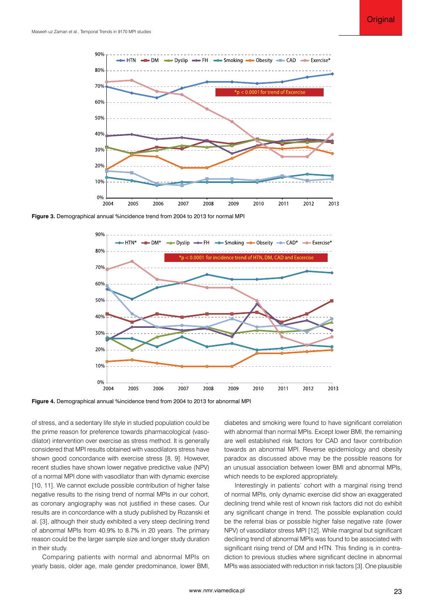

**Figure 3.** Demographical annual %incidence trend from 2004 to 2013 for normal MPI



**Figure 4.** Demographical annual %incidence trend from 2004 to 2013 for abnormal MPI

of stress, and a sedentary life style in studied population could be the prime reason for preference towards pharmacological (vasodilator) intervention over exercise as stress method. It is generally considered that MPI results obtained with vasodilators stress have shown good concordance with exercise stress [8, 9]. However, recent studies have shown lower negative predictive value (NPV) of a normal MPI done with vasodilator than with dynamic exercise [10, 11]. We cannot exclude possible contribution of higher false negative results to the rising trend of normal MPIs in our cohort, as coronary angiography was not justified in these cases. Our results are in concordance with a study published by Rozanski et al. [3], although their study exhibited a very steep declining trend of abnormal MPIs from 40.9% to 8.7% in 20 years. The primary reason could be the larger sample size and longer study duration in their study.

Comparing patients with normal and abnormal MPIs on yearly basis, older age, male gender predominance, lower BMI,

diabetes and smoking were found to have significant correlation with abnormal than normal MPIs. Except lower BMI, the remaining are well established risk factors for CAD and favor contribution towards an abnormal MPI. Reverse epidemiology and obesity paradox as discussed above may be the possible reasons for an unusual association between lower BMI and abnormal MPIs, which needs to be explored appropriately.

Interestingly in patients' cohort with a marginal rising trend of normal MPIs, only dynamic exercise did show an exaggerated declining trend while rest of known risk factors did not do exhibit any significant change in trend. The possible explanation could be the referral bias or possible higher false negative rate (lower NPV) of vasodilator stress MPI [12]. While marginal but significant declining trend of abnormal MPIs was found to be associated with significant rising trend of DM and HTN. This finding is in contradiction to previous studies where significant decline in abnormal MPIs was associated with reduction in risk factors [3]. One plausible